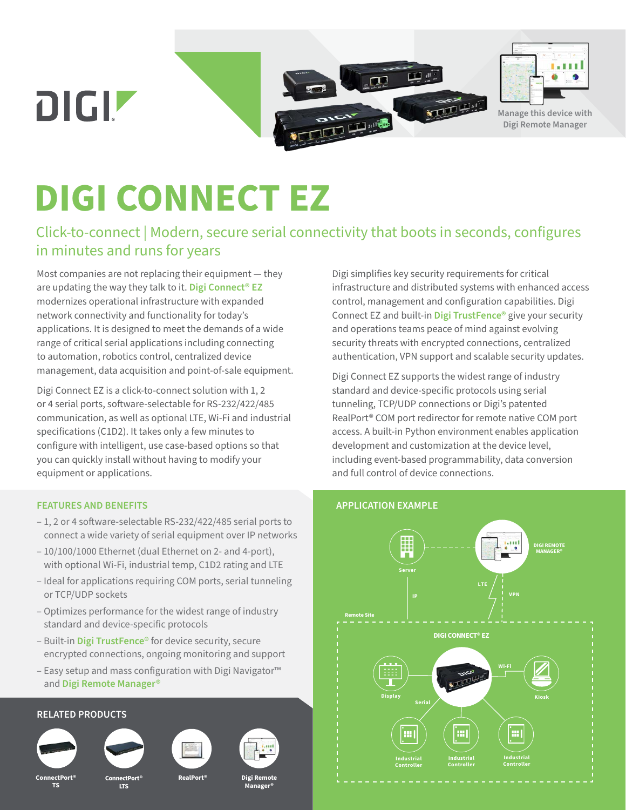**DIGIZ** 





**Manage this device with Digi Remote Manager**

# **DIGI CONNECT EZ**

# Click-to-connect | Modern, secure serial connectivity that boots in seconds, configures in minutes and runs for years

Most companies are not replacing their equipment — they are updating the way they talk to it. **[Digi Connect® EZ](https://www.digi.com/products/networking/infrastructure-management/serial-connectivity/device-servers/digi-connect-ez)** modernizes operational infrastructure with expanded network connectivity and functionality for today's applications. It is designed to meet the demands of a wide range of critical serial applications including connecting to automation, robotics control, centralized device management, data acquisition and point-of-sale equipment.

Digi Connect EZ is a click-to-connect solution with 1, 2 or 4 serial ports, software-selectable for RS-232/422/485 communication, as well as optional LTE, Wi-Fi and industrial specifications (C1D2). It takes only a few minutes to configure with intelligent, use case-based options so that you can quickly install without having to modify your equipment or applications.

#### **FEATURES AND BENEFITS**

- 1, 2 or 4 software-selectable RS-232/422/485 serial ports to connect a wide variety of serial equipment over IP networks
- 10/100/1000 Ethernet (dual Ethernet on 2- and 4-port), with optional Wi-Fi, industrial temp, C1D2 rating and LTE
- Ideal for applications requiring COM ports, serial tunneling or TCP/UDP sockets
- Optimizes performance for the widest range of industry standard and device-specific protocols
- Built-in **[Digi TrustFence](https://www.digi.com/solutions/by-technology/trustfence)®** for device security, secure encrypted connections, ongoing monitoring and support
- Easy setup and mass configuration with Digi Navigator™ and **[Digi Remote Manager®](https://www.digi.com/products/iot-software-services/digi-remote-manager)**

#### **RELATED PRODUCTS**



**TS**

**ConnectPort®** 

**ConnectPort®**

**LTS**





**Digi Remote Manager®**

Digi simplifies key security requirements for critical infrastructure and distributed systems with enhanced access control, management and configuration capabilities. Digi Connect EZ and built-in **[Digi TrustFence®](https://www.digi.com/solutions/by-technology/trustfence)** give your security and operations teams peace of mind against evolving security threats with encrypted connections, centralized authentication, VPN support and scalable security updates.

Digi Connect EZ supports the widest range of industry standard and device-specific protocols using serial tunneling, TCP/UDP connections or Digi's patented RealPort® COM port redirector for remote native COM port access. A built-in Python environment enables application development and customization at the device level, including event-based programmability, data conversion and full control of device connections.



### **APPLICATION EXAMPLE**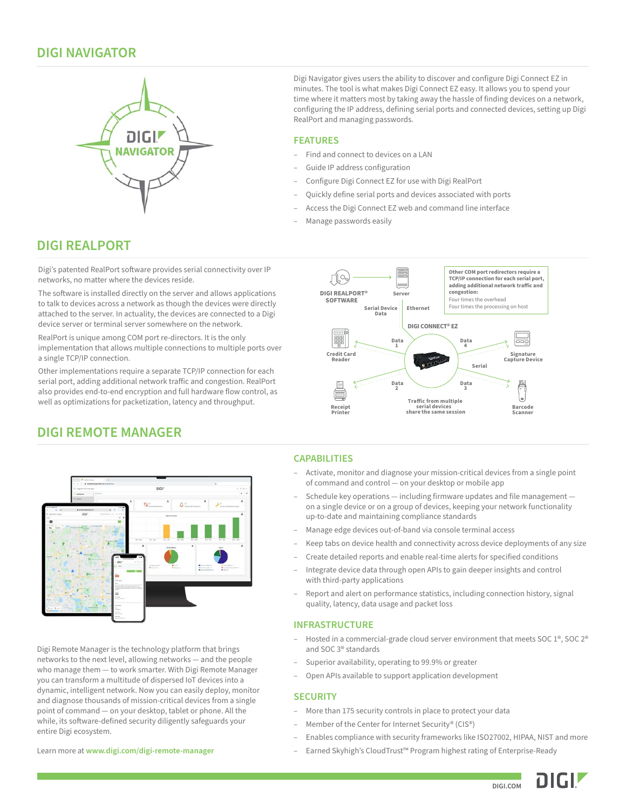### **DIGI NAVIGATOR**



Digi Navigator gives users the ability to discover and configure Digi Connect EZ in minutes. The tool is what makes Digi Connect EZ easy. It allows you to spend your time where it matters most by taking away the hassle of finding devices on a network, configuring the IP address, defining serial ports and connected devices, setting up Digi RealPort and managing passwords.

#### **FEATURES**

- Find and connect to devices on a LAN
- Guide IP address configuration
- Configure Digi Connect EZ for use with Digi RealPort
- Quickly define serial ports and devices associated with ports
- Access the Digi Connect EZ web and command line interface
- Manage passwords easily

## **DIGI REALPORT**

Digi's patented RealPort software provides serial connectivity over IP networks, no matter where the devices reside.

The software is installed directly on the server and allows applications to talk to devices across a network as though the devices were directly attached to the server. In actuality, the devices are connected to a Digi device server or terminal server somewhere on the network.

RealPort is unique among COM port re-directors. It is the only implementation that allows multiple connections to multiple ports over a single TCP/IP connection.

Other implementations require a separate TCP/IP connection for each serial port, adding additional network traffic and congestion. RealPort also provides end-to-end encryption and full hardware flow control, as well as optimizations for packetization, latency and throughput.



# **DIGI REMOTE MANAGER**



Digi Remote Manager is the technology platform that brings networks to the next level, allowing networks — and the people who manage them — to work smarter. With Digi Remote Manager you can transform a multitude of dispersed IoT devices into a dynamic, intelligent network. Now you can easily deploy, monitor and diagnose thousands of mission-critical devices from a single point of command — on your desktop, tablet or phone. All the while, its software-defined security diligently safeguards your entire Digi ecosystem.

#### **CAPABILITIES**

- Activate, monitor and diagnose your mission-critical devices from a single point of command and control — on your desktop or mobile app
- Schedule key operations including firmware updates and file management on a single device or on a group of devices, keeping your network functionality up-to-date and maintaining compliance standards
- Manage edge devices out-of-band via console terminal access
- Keep tabs on device health and connectivity across device deployments of any size
- Create detailed reports and enable real-time alerts for specified conditions
- Integrate device data through open APIs to gain deeper insights and control with third-party applications
- Report and alert on performance statistics, including connection history, signal quality, latency, data usage and packet loss

#### **INFRASTRUCTURE**

- Hosted in a commercial-grade cloud server environment that meets SOC 1<sup>®</sup>, SOC 2<sup>®</sup> and SOC 3® standards
- Superior availability, operating to 99.9% or greater
- Open APIs available to support application development

#### **SECURITY**

- More than 175 security controls in place to protect your data
- Member of the Center for Internet Security® (CIS®)
- Enables compliance with security frameworks like ISO27002, HIPAA, NIST and more
- Earned Skyhigh's CloudTrust™ Program highest rating of Enterprise-Ready

Learn more at **[www.digi.com/digi-remote-manager](https://www.digi.com/digi-remote-manager)**

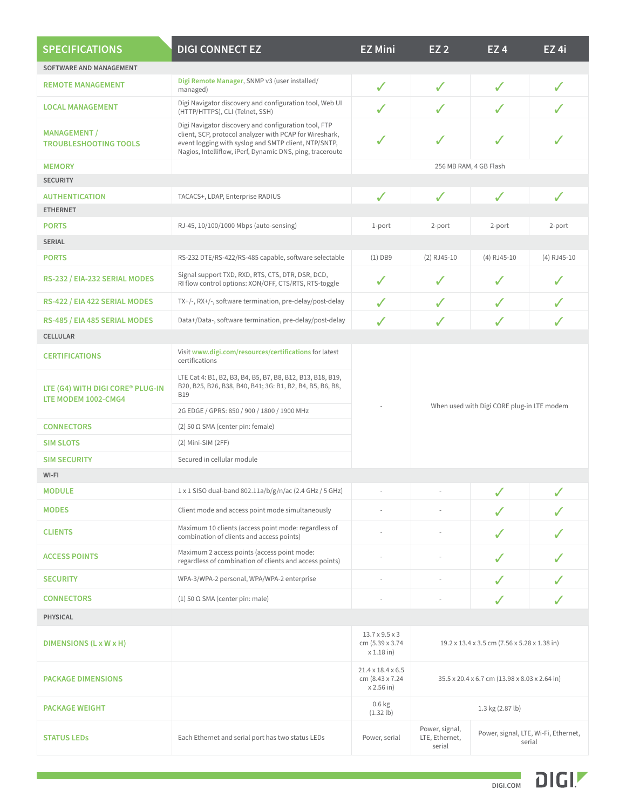| <b>SPECIFICATIONS</b>                                   | <b>DIGI CONNECT EZ</b>                                                                                                                                                                                                               | <b>EZ Mini</b>                                                    | <b>EZ 2</b>                                                                                  | EZ <sub>4</sub>        | EZ <sub>4i</sub> |  |  |
|---------------------------------------------------------|--------------------------------------------------------------------------------------------------------------------------------------------------------------------------------------------------------------------------------------|-------------------------------------------------------------------|----------------------------------------------------------------------------------------------|------------------------|------------------|--|--|
| SOFTWARE AND MANAGEMENT                                 |                                                                                                                                                                                                                                      |                                                                   |                                                                                              |                        |                  |  |  |
| <b>REMOTE MANAGEMENT</b>                                | Digi Remote Manager, SNMP v3 (user installed/<br>managed)                                                                                                                                                                            | $\checkmark$                                                      | $\checkmark$                                                                                 | $\checkmark$           | ✓                |  |  |
| <b>LOCAL MANAGEMENT</b>                                 | Digi Navigator discovery and configuration tool, Web UI<br>(HTTP/HTTPS), CLI (Telnet, SSH)                                                                                                                                           | ✓                                                                 | ✓                                                                                            | ✓                      |                  |  |  |
| <b>MANAGEMENT /</b><br><b>TROUBLESHOOTING TOOLS</b>     | Digi Navigator discovery and configuration tool, FTP<br>client, SCP, protocol analyzer with PCAP for Wireshark,<br>event logging with syslog and SMTP client, NTP/SNTP,<br>Nagios, Intelliflow, iPerf, Dynamic DNS, ping, traceroute | ✓                                                                 | ✓                                                                                            | ✓                      | J                |  |  |
| <b>MEMORY</b><br><b>SECURITY</b>                        |                                                                                                                                                                                                                                      |                                                                   |                                                                                              | 256 MB RAM, 4 GB Flash |                  |  |  |
| <b>AUTHENTICATION</b>                                   | $\checkmark$<br>$\checkmark$<br>TACACS+, LDAP, Enterprise RADIUS                                                                                                                                                                     |                                                                   |                                                                                              |                        | ✓                |  |  |
| <b>ETHERNET</b>                                         |                                                                                                                                                                                                                                      |                                                                   |                                                                                              | $\checkmark$           |                  |  |  |
| <b>PORTS</b>                                            | RJ-45, 10/100/1000 Mbps (auto-sensing)                                                                                                                                                                                               | 1-port                                                            | 2-port                                                                                       | 2-port                 | 2-port           |  |  |
| <b>SERIAL</b>                                           |                                                                                                                                                                                                                                      |                                                                   |                                                                                              |                        |                  |  |  |
| <b>PORTS</b>                                            | RS-232 DTE/RS-422/RS-485 capable, software selectable                                                                                                                                                                                | $(1)$ DB9                                                         | $(2)$ RJ45-10                                                                                | (4) RJ45-10            | (4) RJ45-10      |  |  |
| RS-232 / EIA-232 SERIAL MODES                           | Signal support TXD, RXD, RTS, CTS, DTR, DSR, DCD,<br>RI flow control options: XON/OFF, CTS/RTS, RTS-toggle                                                                                                                           | $\checkmark$                                                      | $\checkmark$                                                                                 | ✓                      | ✓                |  |  |
| RS-422 / EIA 422 SERIAL MODES                           | TX+/-, RX+/-, software termination, pre-delay/post-delay                                                                                                                                                                             | $\checkmark$                                                      | ✓                                                                                            | J                      | ✓                |  |  |
| RS-485 / EIA 485 SERIAL MODES                           | Data+/Data-, software termination, pre-delay/post-delay                                                                                                                                                                              | ✓                                                                 | ✓                                                                                            | ✓                      | ✓                |  |  |
| <b>CELLULAR</b>                                         |                                                                                                                                                                                                                                      |                                                                   |                                                                                              |                        |                  |  |  |
| <b>CERTIFICATIONS</b>                                   | Visit www.digi.com/resources/certifications for latest<br>certifications                                                                                                                                                             |                                                                   |                                                                                              |                        |                  |  |  |
| LTE (G4) WITH DIGI CORE® PLUG-IN<br>LTE MODEM 1002-CMG4 | LTE Cat 4: B1, B2, B3, B4, B5, B7, B8, B12, B13, B18, B19,<br>B20, B25, B26, B38, B40, B41; 3G: B1, B2, B4, B5, B6, B8,<br><b>B19</b>                                                                                                |                                                                   |                                                                                              |                        |                  |  |  |
|                                                         | 2G EDGE / GPRS: 850 / 900 / 1800 / 1900 MHz                                                                                                                                                                                          |                                                                   | When used with Digi CORE plug-in LTE modem                                                   |                        |                  |  |  |
| <b>CONNECTORS</b>                                       | (2) 50 $\Omega$ SMA (center pin: female)                                                                                                                                                                                             |                                                                   |                                                                                              |                        |                  |  |  |
| <b>SIM SLOTS</b>                                        | (2) Mini-SIM (2FF)                                                                                                                                                                                                                   |                                                                   |                                                                                              |                        |                  |  |  |
| <b>SIM SECURITY</b>                                     | Secured in cellular module                                                                                                                                                                                                           |                                                                   |                                                                                              |                        |                  |  |  |
| WI-FI                                                   |                                                                                                                                                                                                                                      |                                                                   |                                                                                              |                        |                  |  |  |
| <b>MODULE</b>                                           | 1 x 1 SISO dual-band 802.11a/b/g/n/ac (2.4 GHz / 5 GHz)                                                                                                                                                                              | ✓                                                                 |                                                                                              |                        |                  |  |  |
| <b>MODES</b>                                            | Client mode and access point mode simultaneously                                                                                                                                                                                     |                                                                   |                                                                                              | ✓                      |                  |  |  |
| <b>CLIENTS</b>                                          | Maximum 10 clients (access point mode: regardless of<br>combination of clients and access points)                                                                                                                                    |                                                                   |                                                                                              |                        |                  |  |  |
| <b>ACCESS POINTS</b>                                    | Maximum 2 access points (access point mode:<br>regardless of combination of clients and access points)                                                                                                                               |                                                                   |                                                                                              | ✓                      |                  |  |  |
| <b>SECURITY</b>                                         | WPA-3/WPA-2 personal, WPA/WPA-2 enterprise                                                                                                                                                                                           | ÷,                                                                | ÷,                                                                                           | J                      |                  |  |  |
| <b>CONNECTORS</b>                                       | (1) 50 $\Omega$ SMA (center pin: male)                                                                                                                                                                                               |                                                                   |                                                                                              | J                      |                  |  |  |
| <b>PHYSICAL</b>                                         |                                                                                                                                                                                                                                      |                                                                   |                                                                                              |                        |                  |  |  |
| DIMENSIONS (L x W x H)                                  |                                                                                                                                                                                                                                      | $13.7 \times 9.5 \times 3$<br>cm (5.39 x 3.74)<br>$x 1.18$ in)    | 19.2 x 13.4 x 3.5 cm (7.56 x 5.28 x 1.38 in)                                                 |                        |                  |  |  |
| <b>PACKAGE DIMENSIONS</b>                               |                                                                                                                                                                                                                                      | $21.4 \times 18.4 \times 6.5$<br>cm (8.43 x 7.24)<br>$x 2.56$ in) | 35.5 x 20.4 x 6.7 cm (13.98 x 8.03 x 2.64 in)                                                |                        |                  |  |  |
| <b>PACKAGE WEIGHT</b>                                   |                                                                                                                                                                                                                                      | $0.6$ kg<br>$(1.32 \, lb)$                                        |                                                                                              | 1.3 kg (2.87 lb)       |                  |  |  |
| <b>STATUS LEDS</b>                                      | Each Ethernet and serial port has two status LEDs                                                                                                                                                                                    | Power, serial                                                     | Power, signal,<br>Power, signal, LTE, Wi-Fi, Ethernet,<br>LTE, Ethernet,<br>serial<br>serial |                        |                  |  |  |

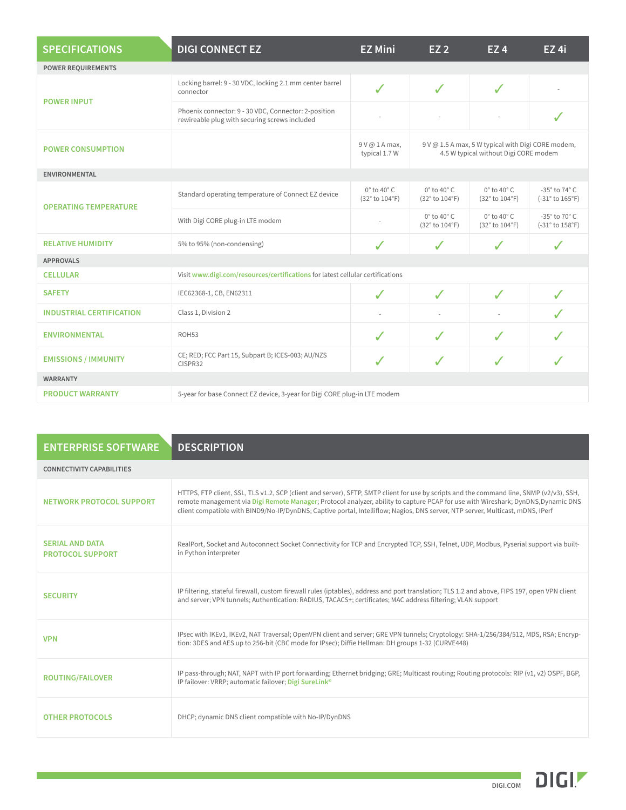| <b>SPECIFICATIONS</b>           | <b>DIGI CONNECT EZ</b>                                                                                                         | <b>EZ Mini</b>                               | EZ <sub>2</sub>                              | EZ <sub>4</sub>                              | $EZ$ 4i                            |
|---------------------------------|--------------------------------------------------------------------------------------------------------------------------------|----------------------------------------------|----------------------------------------------|----------------------------------------------|------------------------------------|
| <b>POWER REQUIREMENTS</b>       |                                                                                                                                |                                              |                                              |                                              |                                    |
| <b>POWER INPUT</b>              | Locking barrel: 9 - 30 VDC, locking 2.1 mm center barrel<br>connector                                                          | $\checkmark$                                 | ✓                                            | ✓                                            |                                    |
|                                 | Phoenix connector: 9 - 30 VDC, Connector: 2-position<br>rewireable plug with securing screws included                          |                                              |                                              |                                              | J                                  |
| <b>POWER CONSUMPTION</b>        | 9 V @ 1.5 A max, 5 W typical with Digi CORE modem,<br>9 V @ 1 A max,<br>4.5 W typical without Digi CORE modem<br>typical 1.7 W |                                              |                                              |                                              |                                    |
| <b>ENVIRONMENTAL</b>            |                                                                                                                                |                                              |                                              |                                              |                                    |
| <b>OPERATING TEMPERATURE</b>    | Standard operating temperature of Connect EZ device                                                                            | $0^\circ$ to 40 $^\circ$ C<br>(32° to 104°F) | $0^\circ$ to 40 $^\circ$ C<br>(32° to 104°F) | $0^\circ$ to 40 $^\circ$ C<br>(32° to 104°F) | -35° to 74° C<br>$(-31° to 165°F)$ |
|                                 | With Digi CORE plug-in LTE modem                                                                                               |                                              | $0^\circ$ to 40 $^\circ$ C<br>(32° to 104°F) | $0^\circ$ to 40 $^\circ$ C<br>(32° to 104°F) | -35° to 70° C<br>(-31° to 158°F)   |
| <b>RELATIVE HUMIDITY</b>        | 5% to 95% (non-condensing)                                                                                                     | ✓                                            | J                                            | J                                            | $\checkmark$                       |
| <b>APPROVALS</b>                |                                                                                                                                |                                              |                                              |                                              |                                    |
| <b>CELLULAR</b>                 | Visit www.digi.com/resources/certifications for latest cellular certifications                                                 |                                              |                                              |                                              |                                    |
| <b>SAFETY</b>                   | IEC62368-1, CB, EN62311                                                                                                        | J                                            | ✓                                            | ✓                                            | J                                  |
| <b>INDUSTRIAL CERTIFICATION</b> | Class 1, Division 2                                                                                                            |                                              |                                              |                                              |                                    |
| <b>ENVIRONMENTAL</b>            | ROH53                                                                                                                          | $\checkmark$                                 | J                                            | √                                            |                                    |
| <b>EMISSIONS / IMMUNITY</b>     | CE; RED; FCC Part 15, Subpart B; ICES-003; AU/NZS<br>CISPR32                                                                   |                                              | $\checkmark$                                 | ✓                                            |                                    |
| <b>WARRANTY</b>                 |                                                                                                                                |                                              |                                              |                                              |                                    |
| <b>PRODUCT WARRANTY</b>         | 5-year for base Connect EZ device, 3-year for Digi CORE plug-in LTE modem                                                      |                                              |                                              |                                              |                                    |

| <b>ENTERPRISE SOFTWARE</b>                        | <b>DESCRIPTION</b>                                                                                                                                                                                                                                                                                                                                                                                              |
|---------------------------------------------------|-----------------------------------------------------------------------------------------------------------------------------------------------------------------------------------------------------------------------------------------------------------------------------------------------------------------------------------------------------------------------------------------------------------------|
| <b>CONNECTIVITY CAPABILITIES</b>                  |                                                                                                                                                                                                                                                                                                                                                                                                                 |
| <b>NETWORK PROTOCOL SUPPORT</b>                   | HTTPS, FTP client, SSL, TLS v1.2, SCP (client and server), SFTP, SMTP client for use by scripts and the command line, SNMP (v2/v3), SSH,<br>remote management via Digi Remote Manager; Protocol analyzer, ability to capture PCAP for use with Wireshark; DynDNS, Dynamic DNS<br>client compatible with BIND9/No-IP/DynDNS; Captive portal, Intelliflow; Nagios, DNS server, NTP server, Multicast, mDNS, IPerf |
| <b>SERIAL AND DATA</b><br><b>PROTOCOL SUPPORT</b> | RealPort, Socket and Autoconnect Socket Connectivity for TCP and Encrypted TCP, SSH, Telnet, UDP, Modbus, Pyserial support via built-<br>in Python interpreter                                                                                                                                                                                                                                                  |
| <b>SECURITY</b>                                   | IP filtering, stateful firewall, custom firewall rules (iptables), address and port translation; TLS 1.2 and above, FIPS 197, open VPN client<br>and server; VPN tunnels; Authentication: RADIUS, TACACS+; certificates; MAC address filtering; VLAN support                                                                                                                                                    |
| <b>VPN</b>                                        | IPsec with IKEv1, IKEv2, NAT Traversal; OpenVPN client and server; GRE VPN tunnels; Cryptology: SHA-1/256/384/512, MDS, RSA; Encryp-<br>tion: 3DES and AES up to 256-bit (CBC mode for IPsec); Diffie Hellman: DH groups 1-32 (CURVE448)                                                                                                                                                                        |
| <b>ROUTING/FAILOVER</b>                           | IP pass-through; NAT, NAPT with IP port forwarding; Ethernet bridging; GRE; Multicast routing; Routing protocols: RIP (v1, v2) OSPF, BGP,<br>IP failover: VRRP; automatic failover; Digi SureLink®                                                                                                                                                                                                              |
| <b>OTHER PROTOCOLS</b>                            | DHCP; dynamic DNS client compatible with No-IP/DynDNS                                                                                                                                                                                                                                                                                                                                                           |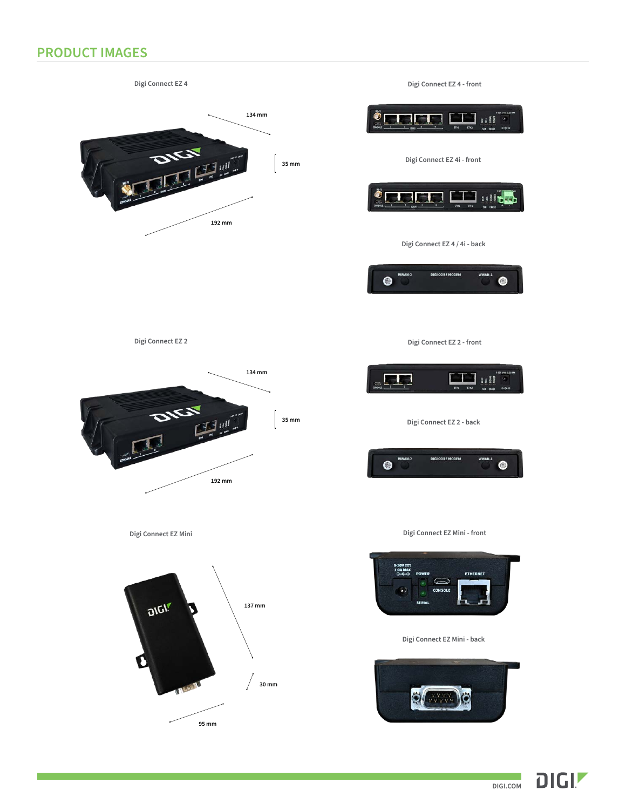# **PRODUCT IMAGES**



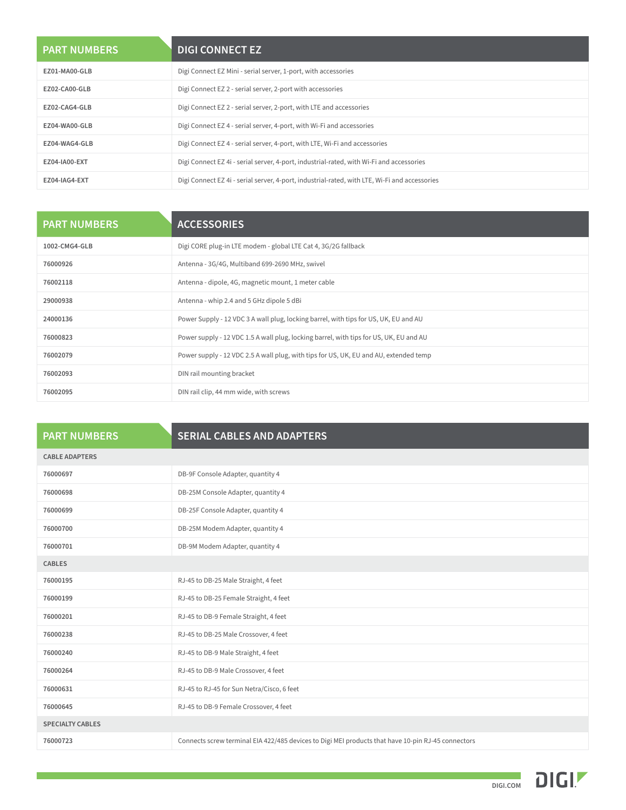| <b>PART NUMBERS</b> | <b>DIGI CONNECT EZ</b>                                                                        |
|---------------------|-----------------------------------------------------------------------------------------------|
| EZ01-MA00-GLB       | Digi Connect EZ Mini - serial server, 1-port, with accessories                                |
| EZ02-CA00-GLB       | Digi Connect EZ 2 - serial server, 2-port with accessories                                    |
| EZ02-CAG4-GLB       | Digi Connect EZ 2 - serial server, 2-port, with LTE and accessories                           |
| EZ04-WA00-GLB       | Digi Connect EZ 4 - serial server, 4-port, with Wi-Fi and accessories                         |
| EZ04-WAG4-GLB       | Digi Connect EZ 4 - serial server, 4-port, with LTE, Wi-Fi and accessories                    |
| EZ04-IA00-EXT       | Digi Connect EZ 4i - serial server, 4-port, industrial-rated, with Wi-Fi and accessories      |
| EZ04-IAG4-EXT       | Digi Connect EZ 4i - serial server, 4-port, industrial-rated, with LTE, Wi-Fi and accessories |

| <b>PART NUMBERS</b> | <b>ACCESSORIES</b>                                                                     |
|---------------------|----------------------------------------------------------------------------------------|
| 1002-CMG4-GLB       | Digi CORE plug-in LTE modem - global LTE Cat 4, 3G/2G fallback                         |
| 76000926            | Antenna - 3G/4G, Multiband 699-2690 MHz, swivel                                        |
| 76002118            | Antenna - dipole, 4G, magnetic mount, 1 meter cable                                    |
| 29000938            | Antenna - whip 2.4 and 5 GHz dipole 5 dBi                                              |
| 24000136            | Power Supply - 12 VDC 3 A wall plug, locking barrel, with tips for US, UK, EU and AU   |
| 76000823            | Power supply - 12 VDC 1.5 A wall plug, locking barrel, with tips for US, UK, EU and AU |
| 76002079            | Power supply - 12 VDC 2.5 A wall plug, with tips for US, UK, EU and AU, extended temp  |
| 76002093            | DIN rail mounting bracket                                                              |
| 76002095            | DIN rail clip, 44 mm wide, with screws                                                 |

| <b>PART NUMBERS</b>     | <b>SERIAL CABLES AND ADAPTERS</b>                                                                  |
|-------------------------|----------------------------------------------------------------------------------------------------|
| <b>CABLE ADAPTERS</b>   |                                                                                                    |
| 76000697                | DB-9F Console Adapter, quantity 4                                                                  |
| 76000698                | DB-25M Console Adapter, quantity 4                                                                 |
| 76000699                | DB-25F Console Adapter, quantity 4                                                                 |
| 76000700                | DB-25M Modem Adapter, quantity 4                                                                   |
| 76000701                | DB-9M Modem Adapter, quantity 4                                                                    |
| <b>CABLES</b>           |                                                                                                    |
| 76000195                | RJ-45 to DB-25 Male Straight, 4 feet                                                               |
| 76000199                | RJ-45 to DB-25 Female Straight, 4 feet                                                             |
| 76000201                | RJ-45 to DB-9 Female Straight, 4 feet                                                              |
| 76000238                | RJ-45 to DB-25 Male Crossover, 4 feet                                                              |
| 76000240                | RJ-45 to DB-9 Male Straight, 4 feet                                                                |
| 76000264                | RJ-45 to DB-9 Male Crossover, 4 feet                                                               |
| 76000631                | RJ-45 to RJ-45 for Sun Netra/Cisco, 6 feet                                                         |
| 76000645                | RJ-45 to DB-9 Female Crossover, 4 feet                                                             |
| <b>SPECIALTY CABLES</b> |                                                                                                    |
| 76000723                | Connects screw terminal EIA 422/485 devices to Digi MEI products that have 10-pin RJ-45 connectors |